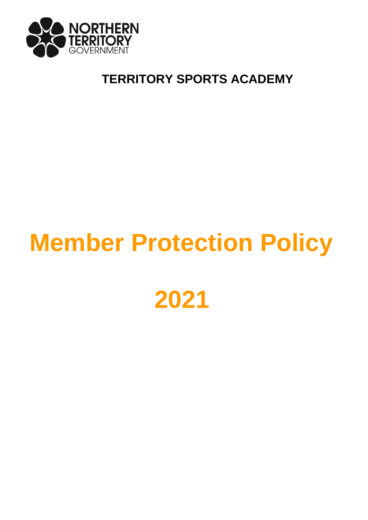

# **TERRITORY SPORTS ACADEMY**

# **Member Protection Policy**

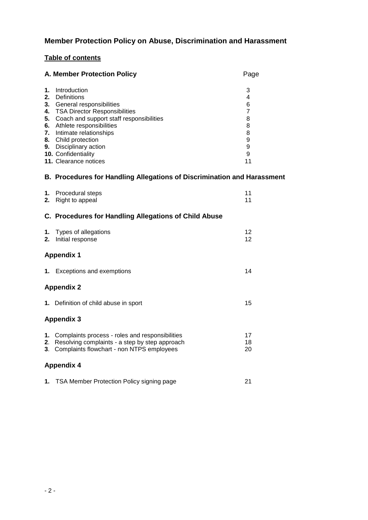# **Member Protection Policy on Abuse, Discrimination and Harassment**

# **Table of contents**

|                                        | A. Member Protection Policy                                                                                                                                                                                                                                                                 | Page                                                                             |  |  |  |
|----------------------------------------|---------------------------------------------------------------------------------------------------------------------------------------------------------------------------------------------------------------------------------------------------------------------------------------------|----------------------------------------------------------------------------------|--|--|--|
| 1.<br>2.<br>3.<br>5.<br>6.<br>7.<br>8. | Introduction<br>Definitions<br>General responsibilities<br>4. TSA Director Responsibilities<br>Coach and support staff responsibilities<br>Athlete responsibilities<br>Intimate relationships<br>Child protection<br>9. Disciplinary action<br>10. Confidentiality<br>11. Clearance notices | 3<br>4<br>6<br>$\overline{7}$<br>8<br>8<br>8<br>9<br>$\boldsymbol{9}$<br>9<br>11 |  |  |  |
|                                        | <b>B. Procedures for Handling Allegations of Discrimination and Harassment</b>                                                                                                                                                                                                              |                                                                                  |  |  |  |
| 1.<br>2.                               | Procedural steps<br>Right to appeal                                                                                                                                                                                                                                                         | 11<br>11                                                                         |  |  |  |
|                                        | C. Procedures for Handling Allegations of Child Abuse                                                                                                                                                                                                                                       |                                                                                  |  |  |  |
| 1.<br>2.                               | Types of allegations<br>Initial response                                                                                                                                                                                                                                                    | 12<br>12                                                                         |  |  |  |
|                                        | <b>Appendix 1</b>                                                                                                                                                                                                                                                                           |                                                                                  |  |  |  |
|                                        | 1. Exceptions and exemptions                                                                                                                                                                                                                                                                | 14                                                                               |  |  |  |
|                                        | <b>Appendix 2</b>                                                                                                                                                                                                                                                                           |                                                                                  |  |  |  |
|                                        | 1. Definition of child abuse in sport                                                                                                                                                                                                                                                       | 15                                                                               |  |  |  |
|                                        | <b>Appendix 3</b>                                                                                                                                                                                                                                                                           |                                                                                  |  |  |  |
|                                        | 1. Complaints process - roles and responsibilities<br>2. Resolving complaints - a step by step approach<br>3. Complaints flowchart - non NTPS employees                                                                                                                                     | 17<br>18<br>20                                                                   |  |  |  |
|                                        | <b>Appendix 4</b>                                                                                                                                                                                                                                                                           |                                                                                  |  |  |  |
|                                        | 1. TSA Member Protection Policy signing page                                                                                                                                                                                                                                                | 21                                                                               |  |  |  |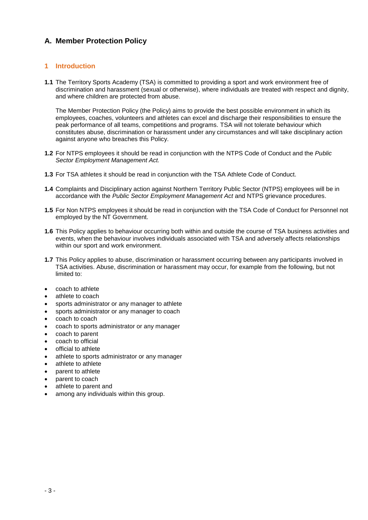# **A. Member Protection Policy**

# **1 Introduction**

**1.1** The Territory Sports Academy (TSA) is committed to providing a sport and work environment free of discrimination and harassment (sexual or otherwise), where individuals are treated with respect and dignity, and where children are protected from abuse.

The Member Protection Policy (the Policy) aims to provide the best possible environment in which its employees, coaches, volunteers and athletes can excel and discharge their responsibilities to ensure the peak performance of all teams, competitions and programs. TSA will not tolerate behaviour which constitutes abuse, discrimination or harassment under any circumstances and will take disciplinary action against anyone who breaches this Policy.

- **1.2** For NTPS employees it should be read in conjunction with the NTPS Code of Conduct and the *Public Sector Employment Management Act.*
- **1.3** For TSA athletes it should be read in conjunction with the TSA Athlete Code of Conduct.
- **1.4** Complaints and Disciplinary action against Northern Territory Public Sector (NTPS) employees will be in accordance with the *Public Sector Employment Management Act* and NTPS grievance procedures.
- **1.5** For Non NTPS employees it should be read in conjunction with the TSA Code of Conduct for Personnel not employed by the NT Government.
- **1.6** This Policy applies to behaviour occurring both within and outside the course of TSA business activities and events, when the behaviour involves individuals associated with TSA and adversely affects relationships within our sport and work environment.
- **1.7** This Policy applies to abuse, discrimination or harassment occurring between any participants involved in TSA activities. Abuse, discrimination or harassment may occur, for example from the following, but not limited to:
- coach to athlete
- athlete to coach
- sports administrator or any manager to athlete
- sports administrator or any manager to coach
- coach to coach
- coach to sports administrator or any manager
- coach to parent
- coach to official
- official to athlete
- athlete to sports administrator or any manager
- athlete to athlete
- parent to athlete
- parent to coach
- athlete to parent and
- among any individuals within this group.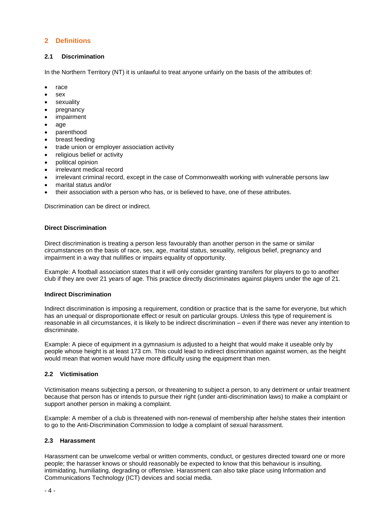# **2 Definitions**

# **2.1 Discrimination**

In the Northern Territory (NT) it is unlawful to treat anyone unfairly on the basis of the attributes of:

- $rac{1}{2}$  race
- sex
- sexuality
- pregnancy
- impairment
- age
- parenthood
- breast feeding
- trade union or employer association activity
- religious belief or activity
- political opinion
- irrelevant medical record
- irrelevant criminal record, except in the case of Commonwealth working with vulnerable persons law
- marital status and/or
- their association with a person who has, or is believed to have, one of these attributes.

Discrimination can be direct or indirect.

# **Direct Discrimination**

Direct discrimination is treating a person less favourably than another person in the same or similar circumstances on the basis of race, sex, age, marital status, sexuality, religious belief, pregnancy and impairment in a way that nullifies or impairs equality of opportunity.

Example: A football association states that it will only consider granting transfers for players to go to another club if they are over 21 years of age. This practice directly discriminates against players under the age of 21.

# **Indirect Discrimination**

Indirect discrimination is imposing a requirement, condition or practice that is the same for everyone, but which has an unequal or disproportionate effect or result on particular groups. Unless this type of requirement is reasonable in all circumstances, it is likely to be indirect discrimination – even if there was never any intention to discriminate.

Example: A piece of equipment in a gymnasium is adjusted to a height that would make it useable only by people whose height is at least 173 cm. This could lead to indirect discrimination against women, as the height would mean that women would have more difficulty using the equipment than men.

# **2.2 Victimisation**

Victimisation means subjecting a person, or threatening to subject a person, to any detriment or unfair treatment because that person has or intends to pursue their right (under anti-discrimination laws) to make a complaint or support another person in making a complaint.

Example: A member of a club is threatened with non-renewal of membership after he/she states their intention to go to the Anti-Discrimination Commission to lodge a complaint of sexual harassment.

# **2.3 Harassment**

Harassment can be unwelcome verbal or written comments, conduct, or gestures directed toward one or more people; the harasser knows or should reasonably be expected to know that this behaviour is insulting, intimidating, humiliating, degrading or offensive. Harassment can also take place using Information and Communications Technology (ICT) devices and social media.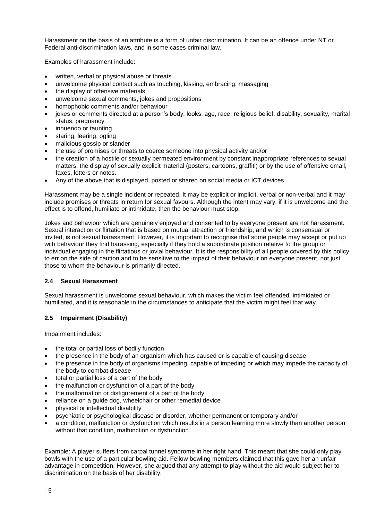Harassment on the basis of an attribute is a form of unfair discrimination. It can be an offence under NT or Federal anti-discrimination laws, and in some cases criminal law.

Examples of harassment include:

- written, verbal or physical abuse or threats
- unwelcome physical contact such as touching, kissing, embracing, massaging
- the display of offensive materials
- unwelcome sexual comments, jokes and propositions
- homophobic comments and/or behaviour
- jokes or comments directed at a person's body, looks, age, race, religious belief, disability, sexuality, marital status, pregnancy
- innuendo or taunting
- staring, leering, ogling
- malicious gossip or slander
- the use of promises or threats to coerce someone into physical activity and/or
- the creation of a hostile or sexually permeated environment by constant inappropriate references to sexual matters, the display of sexually explicit material (posters, cartoons, graffiti) or by the use of offensive email, faxes, letters or notes.
- Any of the above that is displayed, posted or shared on social media or ICT devices.

Harassment may be a single incident or repeated. It may be explicit or implicit, verbal or non-verbal and it may include promises or threats in return for sexual favours. Although the intent may vary, if it is unwelcome and the effect is to offend, humiliate or intimidate, then the behaviour must stop.

Jokes and behaviour which are genuinely enjoyed and consented to by everyone present are not harassment. Sexual interaction or flirtation that is based on mutual attraction or friendship, and which is consensual or invited, is not sexual harassment. However, it is important to recognise that some people may accept or put up with behaviour they find harassing, especially if they hold a subordinate position relative to the group or individual engaging in the flirtatious or jovial behaviour. It is the responsibility of all people covered by this policy to err on the side of caution and to be sensitive to the impact of their behaviour on everyone present, not just those to whom the behaviour is primarily directed.

#### **2.4 Sexual Harassment**

Sexual harassment is unwelcome sexual behaviour, which makes the victim feel offended, intimidated or humiliated, and it is reasonable in the circumstances to anticipate that the victim might feel that way.

# **2.5 Impairment (Disability)**

Impairment includes:

- the total or partial loss of bodily function
- the presence in the body of an organism which has caused or is capable of causing disease
- the presence in the body of organisms impeding, capable of impeding or which may impede the capacity of the body to combat disease
- total or partial loss of a part of the body
- the malfunction or dysfunction of a part of the body
- the malformation or disfigurement of a part of the body
- reliance on a guide dog, wheelchair or other remedial device
- physical or intellectual disability
- psychiatric or psychological disease or disorder, whether permanent or temporary and/or
- a condition, malfunction or dysfunction which results in a person learning more slowly than another person without that condition, malfunction or dysfunction.

Example: A player suffers from carpal tunnel syndrome in her right hand. This meant that she could only play bowls with the use of a particular bowling aid. Fellow bowling members claimed that this gave her an unfair advantage in competition. However, she argued that any attempt to play without the aid would subject her to discrimination on the basis of her disability.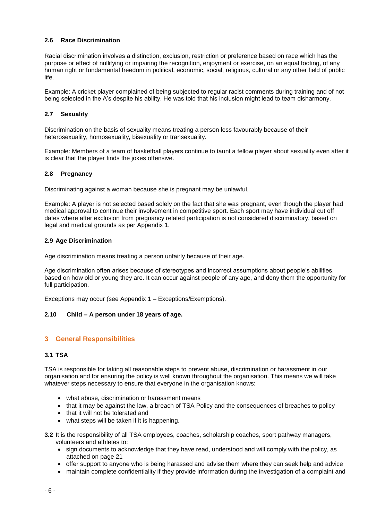# **2.6 Race Discrimination**

Racial discrimination involves a distinction, exclusion, restriction or preference based on race which has the purpose or effect of nullifying or impairing the recognition, enjoyment or exercise, on an equal footing, of any human right or fundamental freedom in political, economic, social, religious, cultural or any other field of public life.

Example: A cricket player complained of being subjected to regular racist comments during training and of not being selected in the A's despite his ability. He was told that his inclusion might lead to team disharmony.

# **2.7 Sexuality**

Discrimination on the basis of sexuality means treating a person less favourably because of their heterosexuality, homosexuality, bisexuality or transexuality.

Example: Members of a team of basketball players continue to taunt a fellow player about sexuality even after it is clear that the player finds the jokes offensive.

# **2.8 Pregnancy**

Discriminating against a woman because she is pregnant may be unlawful.

Example: A player is not selected based solely on the fact that she was pregnant, even though the player had medical approval to continue their involvement in competitive sport. Each sport may have individual cut off dates where after exclusion from pregnancy related participation is not considered discriminatory, based on legal and medical grounds as per Appendix 1.

#### **2.9 Age Discrimination**

Age discrimination means treating a person unfairly because of their age.

Age discrimination often arises because of stereotypes and incorrect assumptions about people's abilities, based on how old or young they are. It can occur against people of any age, and deny them the opportunity for full participation.

Exceptions may occur (see Appendix 1 – Exceptions/Exemptions).

# **2.10 Child – A person under 18 years of age.**

# **3 General Responsibilities**

#### **3.1 TSA**

TSA is responsible for taking all reasonable steps to prevent abuse, discrimination or harassment in our organisation and for ensuring the policy is well known throughout the organisation. This means we will take whatever steps necessary to ensure that everyone in the organisation knows:

- what abuse, discrimination or harassment means
- that it may be against the law, a breach of TSA Policy and the consequences of breaches to policy
- that it will not be tolerated and
- what steps will be taken if it is happening.
- **3.2** It is the responsibility of all TSA employees, coaches, scholarship coaches, sport pathway managers, volunteers and athletes to:
	- sign documents to acknowledge that they have read, understood and will comply with the policy, as attached on page 21
	- offer support to anyone who is being harassed and advise them where they can seek help and advice
	- maintain complete confidentiality if they provide information during the investigation of a complaint and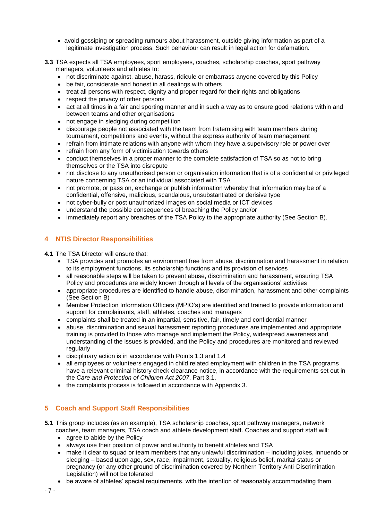- avoid gossiping or spreading rumours about harassment, outside giving information as part of a legitimate investigation process. Such behaviour can result in legal action for defamation.
- **3.3** TSA expects all TSA employees, sport employees, coaches, scholarship coaches, sport pathway managers, volunteers and athletes to:
	- not discriminate against, abuse, harass, ridicule or embarrass anyone covered by this Policy
	- be fair, considerate and honest in all dealings with others
	- treat all persons with respect, dignity and proper regard for their rights and obligations
	- respect the privacy of other persons
	- act at all times in a fair and sporting manner and in such a way as to ensure good relations within and between teams and other organisations
	- not engage in sledging during competition
	- discourage people not associated with the team from fraternising with team members during tournament, competitions and events, without the express authority of team management
	- refrain from intimate relations with anyone with whom they have a supervisory role or power over
	- refrain from any form of victimisation towards others
	- conduct themselves in a proper manner to the complete satisfaction of TSA so as not to bring themselves or the TSA into disrepute
	- not disclose to any unauthorised person or organisation information that is of a confidential or privileged nature concerning TSA or an individual associated with TSA
	- not promote, or pass on, exchange or publish information whereby that information may be of a confidential, offensive, malicious, scandalous, unsubstantiated or derisive type
	- not cyber-bully or post unauthorized images on social media or ICT devices
	- understand the possible consequences of breaching the Policy and/or
	- immediately report any breaches of the TSA Policy to the appropriate authority (See Section B).

# **4 NTIS Director Responsibilities**

**4.1** The TSA Director will ensure that:

- TSA provides and promotes an environment free from abuse, discrimination and harassment in relation to its employment functions, its scholarship functions and its provision of services
- all reasonable steps will be taken to prevent abuse, discrimination and harassment, ensuring TSA Policy and procedures are widely known through all levels of the organisations' activities
- appropriate procedures are identified to handle abuse, discrimination, harassment and other complaints (See Section B)
- Member Protection Information Officers (MPIO's) are identified and trained to provide information and support for complainants, staff, athletes, coaches and managers
- complaints shall be treated in an impartial, sensitive, fair, timely and confidential manner
- abuse, discrimination and sexual harassment reporting procedures are implemented and appropriate training is provided to those who manage and implement the Policy, widespread awareness and understanding of the issues is provided, and the Policy and procedures are monitored and reviewed regularly
- disciplinary action is in accordance with Points 1.3 and 1.4
- all employees or volunteers engaged in child related employment with children in the TSA programs have a relevant criminal history check clearance notice, in accordance with the requirements set out in the *Care and Protection of Children Act 2007*. Part 3.1.
- the complaints process is followed in accordance with Appendix 3.

# **5 Coach and Support Staff Responsibilities**

- **5.1** This group includes (as an example), TSA scholarship coaches, sport pathway managers, network coaches, team managers, TSA coach and athlete development staff. Coaches and support staff will:
	- agree to abide by the Policy
	- always use their position of power and authority to benefit athletes and TSA
	- make it clear to squad or team members that any unlawful discrimination including jokes, innuendo or sledging – based upon age, sex, race, impairment, sexuality, religious belief, marital status or pregnancy (or any other ground of discrimination covered by Northern Territory Anti-Discrimination Legislation) will not be tolerated
	- be aware of athletes' special requirements, with the intention of reasonably accommodating them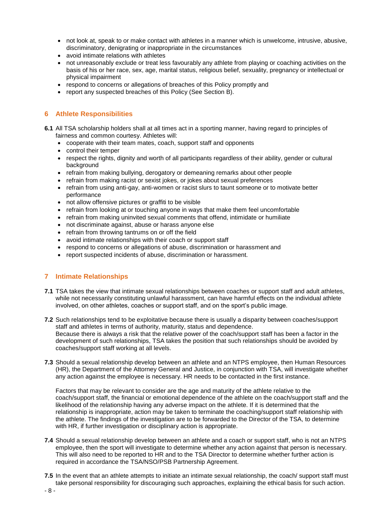- not look at, speak to or make contact with athletes in a manner which is unwelcome, intrusive, abusive, discriminatory, denigrating or inappropriate in the circumstances
- avoid intimate relations with athletes
- not unreasonably exclude or treat less favourably any athlete from playing or coaching activities on the basis of his or her race, sex, age, marital status, religious belief, sexuality, pregnancy or intellectual or physical impairment
- respond to concerns or allegations of breaches of this Policy promptly and
- report any suspected breaches of this Policy (See Section B).

# **6 Athlete Responsibilities**

- **6.1** All TSA scholarship holders shall at all times act in a sporting manner, having regard to principles of fairness and common courtesy. Athletes will:
	- cooperate with their team mates, coach, support staff and opponents
	- control their temper
	- respect the rights, dignity and worth of all participants regardless of their ability, gender or cultural background
	- refrain from making bullying, derogatory or demeaning remarks about other people
	- refrain from making racist or sexist jokes, or jokes about sexual preferences
	- refrain from using anti-gay, anti-women or racist slurs to taunt someone or to motivate better performance
	- not allow offensive pictures or graffiti to be visible
	- refrain from looking at or touching anyone in ways that make them feel uncomfortable
	- refrain from making uninvited sexual comments that offend, intimidate or humiliate
	- not discriminate against, abuse or harass anyone else
	- refrain from throwing tantrums on or off the field
	- avoid intimate relationships with their coach or support staff
	- respond to concerns or allegations of abuse, discrimination or harassment and
	- report suspected incidents of abuse, discrimination or harassment.

# **7 Intimate Relationships**

- **7.1** TSA takes the view that intimate sexual relationships between coaches or support staff and adult athletes, while not necessarily constituting unlawful harassment, can have harmful effects on the individual athlete involved, on other athletes, coaches or support staff, and on the sport's public image.
- **7.2** Such relationships tend to be exploitative because there is usually a disparity between coaches/support staff and athletes in terms of authority, maturity, status and dependence. Because there is always a risk that the relative power of the coach/support staff has been a factor in the development of such relationships, TSA takes the position that such relationships should be avoided by coaches/support staff working at all levels.
- **7.3** Should a sexual relationship develop between an athlete and an NTPS employee, then Human Resources (HR), the Department of the Attorney General and Justice, in conjunction with TSA, will investigate whether any action against the employee is necessary. HR needs to be contacted in the first instance.

Factors that may be relevant to consider are the age and maturity of the athlete relative to the coach/support staff, the financial or emotional dependence of the athlete on the coach/support staff and the likelihood of the relationship having any adverse impact on the athlete. If it is determined that the relationship is inappropriate, action may be taken to terminate the coaching/support staff relationship with the athlete. The findings of the investigation are to be forwarded to the Director of the TSA, to determine with HR, if further investigation or disciplinary action is appropriate.

- **7.4** Should a sexual relationship develop between an athlete and a coach or support staff, who is not an NTPS employee, then the sport will investigate to determine whether any action against that person is necessary. This will also need to be reported to HR and to the TSA Director to determine whether further action is required in accordance the TSA/NSO/PSB Partnership Agreement.
- **7.5** In the event that an athlete attempts to initiate an intimate sexual relationship, the coach/ support staff must take personal responsibility for discouraging such approaches, explaining the ethical basis for such action.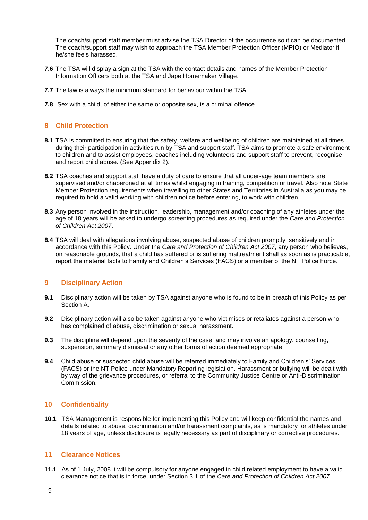The coach/support staff member must advise the TSA Director of the occurrence so it can be documented. The coach/support staff may wish to approach the TSA Member Protection Officer (MPIO) or Mediator if he/she feels harassed.

- **7.6** The TSA will display a sign at the TSA with the contact details and names of the Member Protection Information Officers both at the TSA and Jape Homemaker Village.
- **7.7** The law is always the minimum standard for behaviour within the TSA.
- **7.8** Sex with a child, of either the same or opposite sex, is a criminal offence.

# **8 Child Protection**

- **8.1** TSA is committed to ensuring that the safety, welfare and wellbeing of children are maintained at all times during their participation in activities run by TSA and support staff. TSA aims to promote a safe environment to children and to assist employees, coaches including volunteers and support staff to prevent, recognise and report child abuse. (See Appendix 2).
- **8.2** TSA coaches and support staff have a duty of care to ensure that all under-age team members are supervised and/or chaperoned at all times whilst engaging in training, competition or travel. Also note State Member Protection requirements when travelling to other States and Territories in Australia as you may be required to hold a valid working with children notice before entering, to work with children.
- **8.3** Any person involved in the instruction, leadership, management and/or coaching of any athletes under the age of 18 years will be asked to undergo screening procedures as required under the *Care and Protection of Children Act 2007*.
- **8.4** TSA will deal with allegations involving abuse, suspected abuse of children promptly, sensitively and in accordance with this Policy. Under the *Care and Protection of Children Act 2007*, any person who believes, on reasonable grounds, that a child has suffered or is suffering maltreatment shall as soon as is practicable, report the material facts to Family and Children's Services (FACS) or a member of the NT Police Force.

# **9 Disciplinary Action**

- **9.1** Disciplinary action will be taken by TSA against anyone who is found to be in breach of this Policy as per Section A.
- **9.2** Disciplinary action will also be taken against anyone who victimises or retaliates against a person who has complained of abuse, discrimination or sexual harassment.
- **9.3** The discipline will depend upon the severity of the case, and may involve an apology, counselling, suspension, summary dismissal or any other forms of action deemed appropriate.
- **9.4** Child abuse or suspected child abuse will be referred immediately to Family and Children's' Services (FACS) or the NT Police under Mandatory Reporting legislation. Harassment or bullying will be dealt with by way of the grievance procedures, or referral to the Community Justice Centre or Anti-Discrimination Commission.

# **10 Confidentiality**

**10.1** TSA Management is responsible for implementing this Policy and will keep confidential the names and details related to abuse, discrimination and/or harassment complaints, as is mandatory for athletes under 18 years of age, unless disclosure is legally necessary as part of disciplinary or corrective procedures.

# **11 Clearance Notices**

**11.1** As of 1 July, 2008 it will be compulsory for anyone engaged in child related employment to have a valid clearance notice that is in force, under Section 3.1 of the *Care and Protection of Children Act 2007*.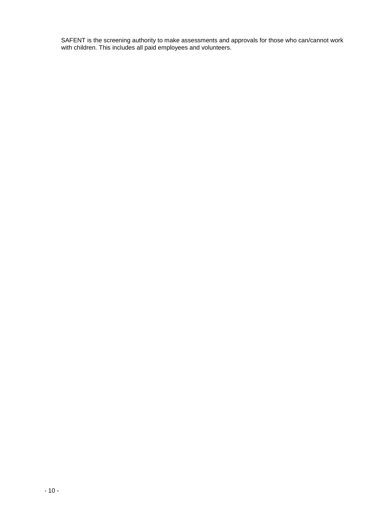SAFENT is the screening authority to make assessments and approvals for those who can/cannot work with children. This includes all paid employees and volunteers.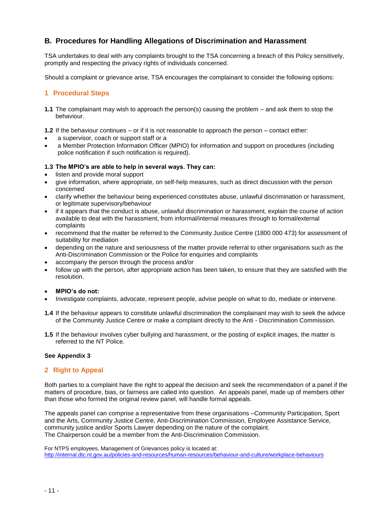# **B. Procedures for Handling Allegations of Discrimination and Harassment**

TSA undertakes to deal with any complaints brought to the TSA concerning a breach of this Policy sensitively, promptly and respecting the privacy rights of individuals concerned.

Should a complaint or grievance arise, TSA encourages the complainant to consider the following options:

# **1 Procedural Steps**

**1.1** The complainant may wish to approach the person(s) causing the problem – and ask them to stop the behaviour.

**1.2** If the behaviour continues – or if it is not reasonable to approach the person – contact either:

- a supervisor, coach or support staff or a
- a Member Protection Information Officer (MPIO) for information and support on procedures (including police notification if such notification is required).

# **1.3 The MPIO's are able to help in several ways. They can:**

- listen and provide moral support
- give information, where appropriate, on self-help measures, such as direct discussion with the person concerned
- clarify whether the behaviour being experienced constitutes abuse, unlawful discrimination or harassment, or legitimate supervisory/behaviour
- if it appears that the conduct is abuse, unlawful discrimination or harassment, explain the course of action available to deal with the harassment, from informal/internal measures through to formal/external complaints
- recommend that the matter be referred to the Community Justice Centre (1800 000 473) for assessment of suitability for mediation
- depending on the nature and seriousness of the matter provide referral to other organisations such as the Anti-Discrimination Commission or the Police for enquiries and complaints
- accompany the person through the process and/or
- follow up with the person, after appropriate action has been taken, to ensure that they are satisfied with the resolution.
- **MPIO's do not:**
- Investigate complaints, advocate, represent people, advise people on what to do, mediate or intervene.
- **1.4** If the behaviour appears to constitute unlawful discrimination the complainant may wish to seek the advice of the Community Justice Centre or make a complaint directly to the Anti - Discrimination Commission.
- **1.5** If the behaviour involves cyber bullying and harassment, or the posting of explicit images, the matter is referred to the NT Police.

# **See Appendix 3**

# **2 Right to Appeal**

Both parties to a complaint have the right to appeal the decision and seek the recommendation of a panel if the matters of procedure, bias, or fairness are called into question. An appeals panel, made up of members other than those who formed the original review panel, will handle formal appeals.

The appeals panel can comprise a representative from these organisations –Community Participation, Sport and the Arts, Community Justice Centre, Anti-Discrimination Commission, Employee Assistance Service, community justice and/or Sports Lawyer depending on the nature of the complaint. The Chairperson could be a member from the Anti-Discrimination Commission.

For NTPS employees, Management of Grievances policy is located at: http://internal.dtc.nt.gov.au/policies-and-resources/human-resources/behaviour-and-culture/workplace-behaviours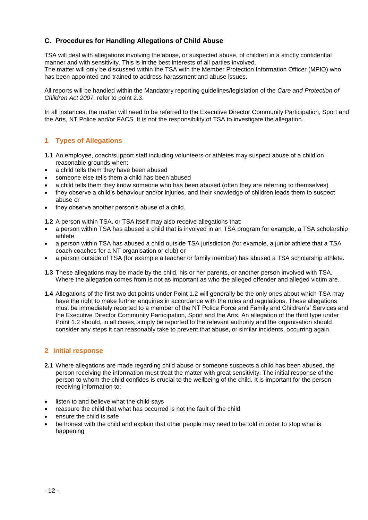# **C. Procedures for Handling Allegations of Child Abuse**

TSA will deal with allegations involving the abuse, or suspected abuse, of children in a strictly confidential manner and with sensitivity. This is in the best interests of all parties involved. The matter will only be discussed within the TSA with the Member Protection Information Officer (MPIO) who has been appointed and trained to address harassment and abuse issues.

All reports will be handled within the Mandatory reporting guidelines/legislation of the *Care and Protection of Children Act 2007,* refer to point 2.3.

In all instances, the matter will need to be referred to the Executive Director Community Participation, Sport and the Arts, NT Police and/or FACS. It is not the responsibility of TSA to investigate the allegation.

# **1 Types of Allegations**

- **1.1** An employee, coach/support staff including volunteers or athletes may suspect abuse of a child on reasonable grounds when:
- a child tells them they have been abused
- someone else tells them a child has been abused
- a child tells them they know someone who has been abused (often they are referring to themselves)
- they observe a child's behaviour and/or injuries, and their knowledge of children leads them to suspect abuse or
- they observe another person's abuse of a child.
- **1.2** A person within TSA, or TSA itself may also receive allegations that:
- a person within TSA has abused a child that is involved in an TSA program for example, a TSA scholarship athlete
- a person within TSA has abused a child outside TSA jurisdiction (for example, a junior athlete that a TSA coach coaches for a NT organisation or club) or
- a person outside of TSA (for example a teacher or family member) has abused a TSA scholarship athlete.
- **1.3** These allegations may be made by the child, his or her parents, or another person involved with TSA. Where the allegation comes from is not as important as who the alleged offender and alleged victim are.
- **1.4** Allegations of the first two dot points under Point 1.2 will generally be the only ones about which TSA may have the right to make further enquiries in accordance with the rules and regulations. These allegations must be immediately reported to a member of the NT Police Force and Family and Children's' Services and the Executive Director Community Participation, Sport and the Arts. An allegation of the third type under Point 1.2 should, in all cases, simply be reported to the relevant authority and the organisation should consider any steps it can reasonably take to prevent that abuse, or similar incidents, occurring again.

# **2 Initial response**

- **2.1** Where allegations are made regarding child abuse or someone suspects a child has been abused, the person receiving the information must treat the matter with great sensitivity. The initial response of the person to whom the child confides is crucial to the wellbeing of the child. It is important for the person receiving information to:
- listen to and believe what the child says
- reassure the child that what has occurred is not the fault of the child
- ensure the child is safe
- be honest with the child and explain that other people may need to be told in order to stop what is happening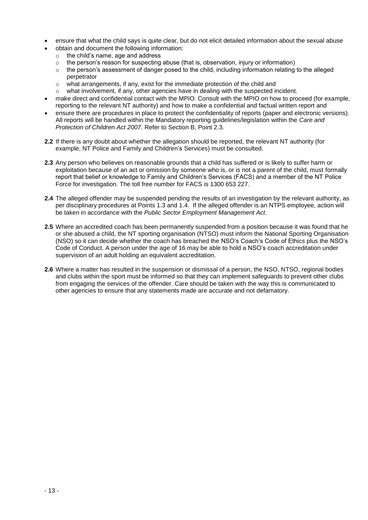- ensure that what the child says is quite clear, but do not elicit detailed information about the sexual abuse
- obtain and document the following information:
	- o the child's name, age and address
	- $\circ$  the person's reason for suspecting abuse (that is, observation, injury or information)
	- $\circ$  the person's assessment of danger posed to the child, including information relating to the alleged perpetrator
	- o what arrangements, if any, exist for the immediate protection of the child and
	- o what involvement, if any, other agencies have in dealing with the suspected incident.
- make direct and confidential contact with the MPIO. Consult with the MPIO on how to proceed (for example, reporting to the relevant NT authority) and how to make a confidential and factual written report and
- ensure there are procedures in place to protect the confidentiality of reports (paper and electronic versions). All reports will be handled within the Mandatory reporting guidelines/legislation within the *Care and Protection of Children Act 2007*. Refer to Section B, Point 2.3.
- **2.2** If there is any doubt about whether the allegation should be reported, the relevant NT authority (for example, NT Police and Family and Children's Services) must be consulted.
- **2.3** Any person who believes on reasonable grounds that a child has suffered or is likely to suffer harm or exploitation because of an act or omission by someone who is, or is not a parent of the child, must formally report that belief or knowledge to Family and Children's Services (FACS) and a member of the NT Police Force for investigation. The toll free number for FACS is 1300 653 227.
- **2.4** The alleged offender may be suspended pending the results of an investigation by the relevant authority, as per disciplinary procedures at Points 1.3 and 1.4. If the alleged offender is an NTPS employee, action will be taken in accordance with the *Public Sector Employment Management Act*.
- **2.5** Where an accredited coach has been permanently suspended from a position because it was found that he or she abused a child, the NT sporting organisation (NTSO) must inform the National Sporting Organisation (NSO) so it can decide whether the coach has breached the NSO's Coach's Code of Ethics plus the NSO's Code of Conduct. A person under the age of 16 may be able to hold a NSO's coach accreditation under supervision of an adult holding an equivalent accreditation.
- **2.6** Where a matter has resulted in the suspension or dismissal of a person, the NSO, NTSO, regional bodies and clubs within the sport must be informed so that they can implement safeguards to prevent other clubs from engaging the services of the offender. Care should be taken with the way this is communicated to other agencies to ensure that any statements made are accurate and not defamatory.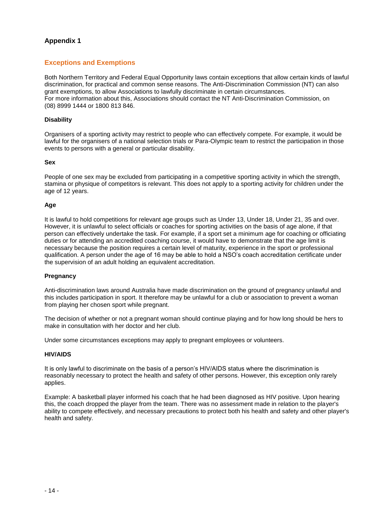# **Exceptions and Exemptions**

Both Northern Territory and Federal Equal Opportunity laws contain exceptions that allow certain kinds of lawful discrimination, for practical and common sense reasons. The Anti-Discrimination Commission (NT) can also grant exemptions, to allow Associations to lawfully discriminate in certain circumstances. For more information about this, Associations should contact the NT Anti-Discrimination Commission, on (08) 8999 1444 or 1800 813 846.

#### **Disability**

Organisers of a sporting activity may restrict to people who can effectively compete. For example, it would be lawful for the organisers of a national selection trials or Para-Olympic team to restrict the participation in those events to persons with a general or particular disability.

#### **Sex**

People of one sex may be excluded from participating in a competitive sporting activity in which the strength, stamina or physique of competitors is relevant. This does not apply to a sporting activity for children under the age of 12 years.

# **Age**

It is lawful to hold competitions for relevant age groups such as Under 13, Under 18, Under 21, 35 and over. However, it is unlawful to select officials or coaches for sporting activities on the basis of age alone, if that person can effectively undertake the task. For example, if a sport set a minimum age for coaching or officiating duties or for attending an accredited coaching course, it would have to demonstrate that the age limit is necessary because the position requires a certain level of maturity, experience in the sport or professional qualification. A person under the age of 16 may be able to hold a NSO's coach accreditation certificate under the supervision of an adult holding an equivalent accreditation.

# **Pregnancy**

Anti-discrimination laws around Australia have made discrimination on the ground of pregnancy unlawful and this includes participation in sport. It therefore may be unlawful for a club or association to prevent a woman from playing her chosen sport while pregnant.

The decision of whether or not a pregnant woman should continue playing and for how long should be hers to make in consultation with her doctor and her club.

Under some circumstances exceptions may apply to pregnant employees or volunteers.

#### **HIV/AIDS**

It is only lawful to discriminate on the basis of a person's HIV/AIDS status where the discrimination is reasonably necessary to protect the health and safety of other persons. However, this exception only rarely applies.

Example: A basketball player informed his coach that he had been diagnosed as HIV positive. Upon hearing this, the coach dropped the player from the team. There was no assessment made in relation to the player's ability to compete effectively, and necessary precautions to protect both his health and safety and other player's health and safety.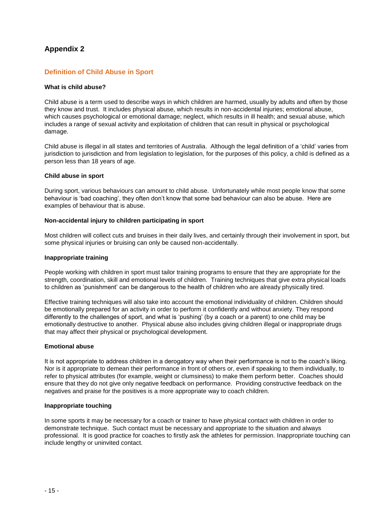# **Definition of Child Abuse in Sport**

#### **What is child abuse?**

Child abuse is a term used to describe ways in which children are harmed, usually by adults and often by those they know and trust. It includes physical abuse, which results in non-accidental injuries; emotional abuse, which causes psychological or emotional damage; neglect, which results in ill health; and sexual abuse, which includes a range of sexual activity and exploitation of children that can result in physical or psychological damage.

Child abuse is illegal in all states and territories of Australia. Although the legal definition of a 'child' varies from jurisdiction to jurisdiction and from legislation to legislation, for the purposes of this policy, a child is defined as a person less than 18 years of age.

#### **Child abuse in sport**

During sport, various behaviours can amount to child abuse. Unfortunately while most people know that some behaviour is 'bad coaching', they often don't know that some bad behaviour can also be abuse. Here are examples of behaviour that is abuse.

#### **Non-accidental injury to children participating in sport**

Most children will collect cuts and bruises in their daily lives, and certainly through their involvement in sport, but some physical injuries or bruising can only be caused non-accidentally.

#### **Inappropriate training**

People working with children in sport must tailor training programs to ensure that they are appropriate for the strength, coordination, skill and emotional levels of children. Training techniques that give extra physical loads to children as 'punishment' can be dangerous to the health of children who are already physically tired.

Effective training techniques will also take into account the emotional individuality of children. Children should be emotionally prepared for an activity in order to perform it confidently and without anxiety. They respond differently to the challenges of sport, and what is 'pushing' (by a coach or a parent) to one child may be emotionally destructive to another. Physical abuse also includes giving children illegal or inappropriate drugs that may affect their physical or psychological development.

#### **Emotional abuse**

It is not appropriate to address children in a derogatory way when their performance is not to the coach's liking. Nor is it appropriate to demean their performance in front of others or, even if speaking to them individually, to refer to physical attributes (for example, weight or clumsiness) to make them perform better. Coaches should ensure that they do not give only negative feedback on performance. Providing constructive feedback on the negatives and praise for the positives is a more appropriate way to coach children.

#### **Inappropriate touching**

In some sports it may be necessary for a coach or trainer to have physical contact with children in order to demonstrate technique. Such contact must be necessary and appropriate to the situation and always professional. It is good practice for coaches to firstly ask the athletes for permission. Inappropriate touching can include lengthy or uninvited contact.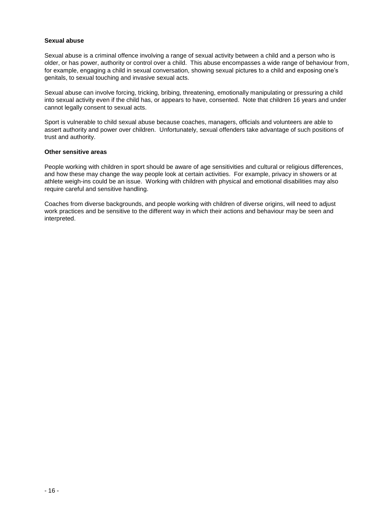#### **Sexual abuse**

Sexual abuse is a criminal offence involving a range of sexual activity between a child and a person who is older, or has power, authority or control over a child. This abuse encompasses a wide range of behaviour from, for example, engaging a child in sexual conversation, showing sexual pictures to a child and exposing one's genitals, to sexual touching and invasive sexual acts.

Sexual abuse can involve forcing, tricking, bribing, threatening, emotionally manipulating or pressuring a child into sexual activity even if the child has, or appears to have, consented. Note that children 16 years and under cannot legally consent to sexual acts.

Sport is vulnerable to child sexual abuse because coaches, managers, officials and volunteers are able to assert authority and power over children. Unfortunately, sexual offenders take advantage of such positions of trust and authority.

#### **Other sensitive areas**

People working with children in sport should be aware of age sensitivities and cultural or religious differences, and how these may change the way people look at certain activities. For example, privacy in showers or at athlete weigh-ins could be an issue. Working with children with physical and emotional disabilities may also require careful and sensitive handling.

Coaches from diverse backgrounds, and people working with children of diverse origins, will need to adjust work practices and be sensitive to the different way in which their actions and behaviour may be seen and interpreted.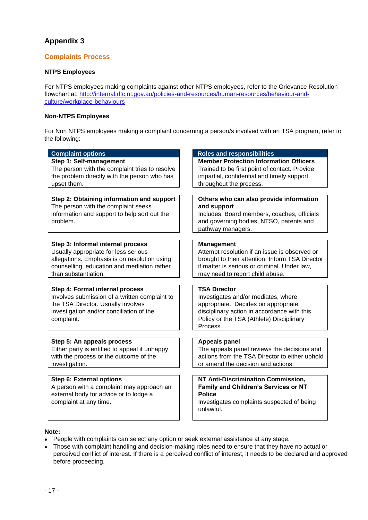# **Complaints Process**

# **NTPS Employees**

For NTPS employees making complaints against other NTPS employees, refer to the Grievance Resolution flowchart at: http://internal.dtc.nt.gov.au/policies-and-resources/human-resources/behaviour-andculture/workplace-behaviours

#### **Non-NTPS Employees**

For Non NTPS employees making a complaint concerning a person/s involved with an TSA program, refer to the following:

| <b>Complaint options</b>                                                                                                                                                                         | <b>Roles and responsibilities</b>                                                                                                                                                                        |
|--------------------------------------------------------------------------------------------------------------------------------------------------------------------------------------------------|----------------------------------------------------------------------------------------------------------------------------------------------------------------------------------------------------------|
| Step 1: Self-management<br>The person with the complaint tries to resolve<br>the problem directly with the person who has<br>upset them.                                                         | <b>Member Protection Information Officers</b><br>Trained to be first point of contact. Provide<br>impartial, confidential and timely support<br>throughout the process.                                  |
| Step 2: Obtaining information and support<br>The person with the complaint seeks<br>information and support to help sort out the<br>problem.                                                     | Others who can also provide information<br>and support<br>Includes: Board members, coaches, officials<br>and governing bodies, NTSO, parents and<br>pathway managers.                                    |
| Step 3: Informal internal process<br>Usually appropriate for less serious<br>allegations. Emphasis is on resolution using<br>counselling, education and mediation rather<br>than substantiation. | <b>Management</b><br>Attempt resolution if an issue is observed or<br>brought to their attention. Inform TSA Director<br>if matter is serious or criminal. Under law,<br>may need to report child abuse. |
| Step 4: Formal internal process<br>Involves submission of a written complaint to<br>the TSA Director. Usually involves<br>investigation and/or conciliation of the<br>complaint.                 | <b>TSA Director</b><br>Investigates and/or mediates, where<br>appropriate. Decides on appropriate<br>disciplinary action in accordance with this<br>Policy or the TSA (Athlete) Disciplinary<br>Process. |
| Step 5: An appeals process<br>Either party is entitled to appeal if unhappy<br>with the process or the outcome of the<br>investigation.                                                          | <b>Appeals panel</b><br>The appeals panel reviews the decisions and<br>actions from the TSA Director to either uphold<br>or amend the decision and actions.                                              |
| Step 6: External options<br>A person with a complaint may approach an<br>external body for advice or to lodge a<br>complaint at any time.                                                        | NT Anti-Discrimination Commission,<br>Family and Children's Services or NT<br><b>Police</b><br>Investigates complaints suspected of being<br>unlawful.                                                   |

#### **Note:**

- People with complaints can select any option or seek external assistance at any stage.
- Those with complaint handling and decision-making roles need to ensure that they have no actual or perceived conflict of interest. If there is a perceived conflict of interest, it needs to be declared and approved before proceeding.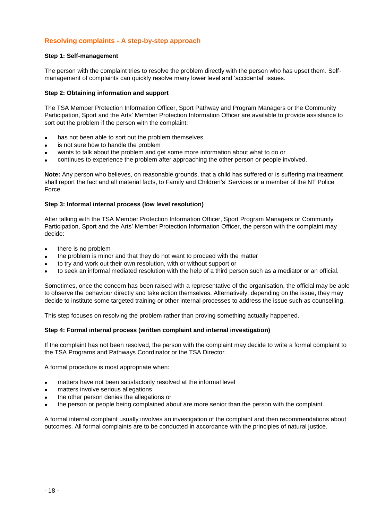# **Resolving complaints - A step-by-step approach**

#### **Step 1: Self-management**

The person with the complaint tries to resolve the problem directly with the person who has upset them. Selfmanagement of complaints can quickly resolve many lower level and 'accidental' issues.

#### **Step 2: Obtaining information and support**

The TSA Member Protection Information Officer, Sport Pathway and Program Managers or the Community Participation, Sport and the Arts' Member Protection Information Officer are available to provide assistance to sort out the problem if the person with the complaint:

- has not been able to sort out the problem themselves
- is not sure how to handle the problem
- wants to talk about the problem and get some more information about what to do or
- continues to experience the problem after approaching the other person or people involved.

**Note:** Any person who believes, on reasonable grounds, that a child has suffered or is suffering maltreatment shall report the fact and all material facts, to Family and Children's' Services or a member of the NT Police Force.

#### **Step 3: Informal internal process (low level resolution)**

After talking with the TSA Member Protection Information Officer, Sport Program Managers or Community Participation, Sport and the Arts' Member Protection Information Officer, the person with the complaint may decide:

- there is no problem
- the problem is minor and that they do not want to proceed with the matter
- to try and work out their own resolution, with or without support or
- to seek an informal mediated resolution with the help of a third person such as a mediator or an official.

Sometimes, once the concern has been raised with a representative of the organisation, the official may be able to observe the behaviour directly and take action themselves. Alternatively, depending on the issue, they may decide to institute some targeted training or other internal processes to address the issue such as counselling.

This step focuses on resolving the problem rather than proving something actually happened.

#### **Step 4: Formal internal process (written complaint and internal investigation)**

If the complaint has not been resolved, the person with the complaint may decide to write a formal complaint to the TSA Programs and Pathways Coordinator or the TSA Director.

A formal procedure is most appropriate when:

- matters have not been satisfactorily resolved at the informal level
- matters involve serious allegations
- the other person denies the allegations or
- the person or people being complained about are more senior than the person with the complaint.

A formal internal complaint usually involves an investigation of the complaint and then recommendations about outcomes. All formal complaints are to be conducted in accordance with the principles of natural justice.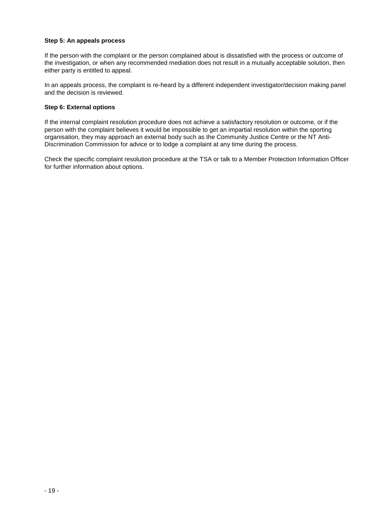#### **Step 5: An appeals process**

If the person with the complaint or the person complained about is dissatisfied with the process or outcome of the investigation, or when any recommended mediation does not result in a mutually acceptable solution, then either party is entitled to appeal.

In an appeals process, the complaint is re-heard by a different independent investigator/decision making panel and the decision is reviewed.

#### **Step 6: External options**

If the internal complaint resolution procedure does not achieve a satisfactory resolution or outcome, or if the person with the complaint believes it would be impossible to get an impartial resolution within the sporting organisation, they may approach an external body such as the Community Justice Centre or the NT Anti-Discrimination Commission for advice or to lodge a complaint at any time during the process.

Check the specific complaint resolution procedure at the TSA or talk to a Member Protection Information Officer for further information about options.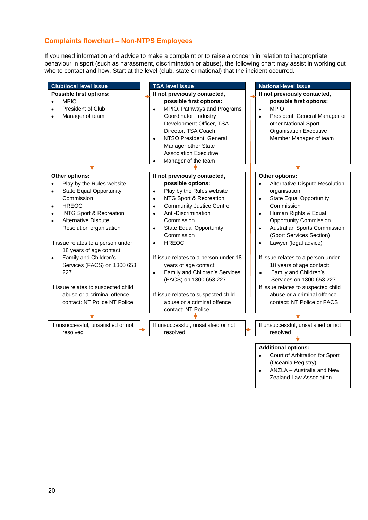# **Complaints flowchart – Non-NTPS Employees**

If you need information and advice to make a complaint or to raise a concern in relation to inappropriate behaviour in sport (such as harassment, discrimination or abuse), the following chart may assist in working out who to contact and how. Start at the level (club, state or national) that the incident occurred.



Zealand Law Association